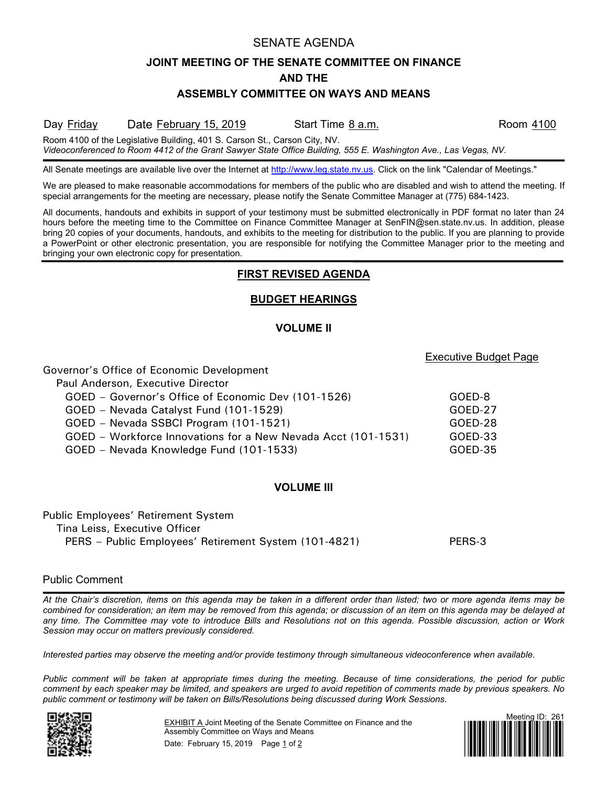## SENATE AGENDA

# **JOINT MEETING OF THE SENATE COMMITTEE ON FINANCE AND THE**

## **ASSEMBLY COMMITTEE ON WAYS AND MEANS**

#### Day Friday Date February 15, 2019 Start Time 8 a.m. Start Start Time 3 a.m.

Executive Budget Page

Room 4100 of the Legislative Building, 401 S. Carson St., Carson City, NV. *Videoconferenced to Room 4412 of the Grant Sawyer State Office Building, 555 E. Washington Ave., Las Vegas, NV.*

All Senate meetings are available live over the Internet at [http://www.leg.state.nv.us.](http://www.leg.state.nv.us/) Click on the link "Calendar of Meetings."

We are pleased to make reasonable accommodations for members of the public who are disabled and wish to attend the meeting. If special arrangements for the meeting are necessary, please notify the Senate Committee Manager at (775) 684-1423.

All documents, handouts and exhibits in support of your testimony must be submitted electronically in PDF format no later than 24 hours before the meeting time to the Committee on Finance Committee Manager at SenFIN@sen.state.nv.us. In addition, please bring 20 copies of your documents, handouts, and exhibits to the meeting for distribution to the public. If you are planning to provide a PowerPoint or other electronic presentation, you are responsible for notifying the Committee Manager prior to the meeting and bringing your own electronic copy for presentation.

## **FIRST REVISED AGENDA**

## **BUDGET HEARINGS**

## **VOLUME II**

| Governor's Office of Economic Development                     |         |
|---------------------------------------------------------------|---------|
| Paul Anderson, Executive Director                             |         |
| GOED – Governor's Office of Economic Dev (101-1526)           | GOED-8  |
| GOED - Nevada Catalyst Fund (101-1529)                        | GOED-27 |
| GOED - Nevada SSBCI Program (101-1521)                        | GOED-28 |
| GOED – Workforce Innovations for a New Nevada Acct (101-1531) | GOED-33 |
| GOED - Nevada Knowledge Fund (101-1533)                       | GOED-35 |

## **VOLUME III**

| <b>Public Employees' Retirement System</b>            |        |
|-------------------------------------------------------|--------|
| Tina Leiss, Executive Officer                         |        |
| PERS – Public Employees' Retirement System (101-4821) | PERS-3 |

## Public Comment

*At the Chair's discretion, items on this agenda may be taken in a different order than listed; two or more agenda items may be combined for consideration; an item may be removed from this agenda; or discussion of an item on this agenda may be delayed at any time. The Committee may vote to introduce Bills and Resolutions not on this agenda. Possible discussion, action or Work Session may occur on matters previously considered.*

*Interested parties may observe the meeting and/or provide testimony through simultaneous videoconference when available.*

*Public comment will be taken at appropriate times during the meeting. Because of time considerations, the period for public comment by each speaker may be limited, and speakers are urged to avoid repetition of comments made by previous speakers. No public comment or testimony will be taken on Bills/Resolutions being discussed during Work Sessions.*



EXHIBIT A Joint Meeting of the Senate Committee on Finance and the Assembly Committee on Ways and Means Date: February 15, 2019 Page 1 of 2